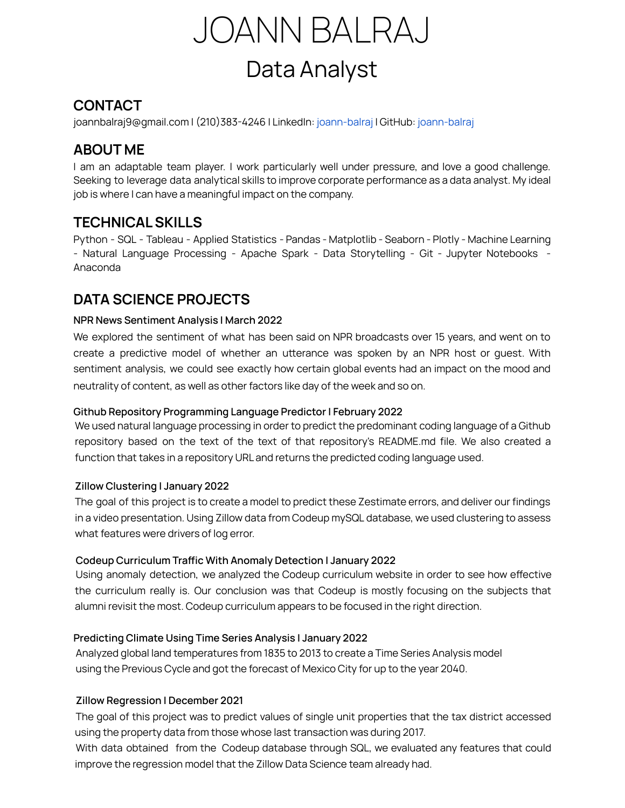

# **CONTACT**

[joannbalraj9@gmail.com](mailto:joannbalraj9@gmail.com) | (210)383-4246 | LinkedIn: [joann-balraj](http://www.linkedin.com/in/joann-balraj) | GitHub: [joann-balraj](https://github.com/joann-balraj)

### **ABOUT ME**

I am an adaptable team player. I work particularly well under pressure, and love a good challenge. Seeking to leverage data analytical skills to improve corporate performance as a data analyst. My ideal job is where I can have a meaningful impact on the company.

### **TECHNICALSKILLS**

Python - SQL - Tableau - Applied Statistics - Pandas - Matplotlib - Seaborn - Plotly - Machine Learning - Natural Language Processing - Apache Spark - Data Storytelling - Git - Jupyter Notebooks - Anaconda

# **DATA SCIENCE PROJECTS**

#### **NPR News Sentiment Analysis | March 2022**

We explored the sentiment of what has been said on NPR broadcasts over 15 years, and went on to create a predictive model of whether an utterance was spoken by an NPR host or guest. With sentiment analysis, we could see exactly how certain global events had an impact on the mood and neutrality of content, as well as other factors like day of the week and so on.

#### **Github Repository Programming Language Predictor | February 2022**

We used natural language processing in order to predict the predominant coding language of a Github repository based on the text of the text of that repository's README.md file. We also created a function that takes in a repository URL and returns the predicted coding language used.

#### **Zillow Clustering | January 2022**

The goal of this project is to create a model to predict these Zestimate errors, and deliver our findings in a video presentation. Using Zillow data from Codeup mySQL database, we used clustering to assess what features were drivers of log error.

#### **Codeup Curriculum Traffic With Anomaly Detection | January 2022**

Using anomaly detection, we analyzed the Codeup curriculum website in order to see how effective the curriculum really is. Our conclusion was that Codeup is mostly focusing on the subjects that alumni revisit the most. Codeup curriculum appears to be focused in the right direction.

#### **Predicting Climate Using Time Series Analysis | January 2022**

Analyzed global land temperatures from 1835 to 2013 to create a Time Series Analysis model using the Previous Cycle and got the forecast of Mexico City for up to the year 2040.

#### **Zillow Regression | December 2021**

The goal of this project was to predict values of single unit properties that the tax district accessed using the property data from those whose last transaction was during 2017.

With data obtained from the Codeup database through SQL, we evaluated any features that could improve the regression model that the Zillow Data Science team already had.